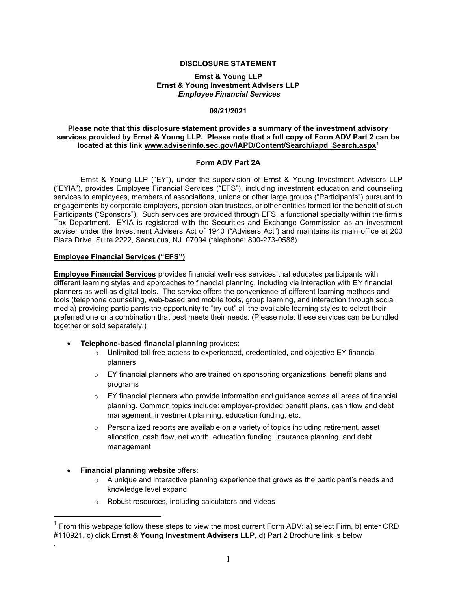### DISCLOSURE STATEMENT

#### Ernst & Young LLP Ernst & Young Investment Advisers LLP Employee Financial Services

# 09/21/2021

### Please note that this disclosure statement provides a summary of the investment advisory services provided by Ernst & Young LLP. Please note that a full copy of Form ADV Part 2 can be located at this link www.adviserinfo.sec.gov/IAPD/Content/Search/iapd\_Search.aspx<sup>1</sup>

### Form ADV Part 2A

Ernst & Young LLP ("EY"), under the supervision of Ernst & Young Investment Advisers LLP ("EYIA"), provides Employee Financial Services ("EFS"), including investment education and counseling services to employees, members of associations, unions or other large groups ("Participants") pursuant to engagements by corporate employers, pension plan trustees, or other entities formed for the benefit of such Participants ("Sponsors"). Such services are provided through EFS, a functional specialty within the firm's Tax Department. EYIA is registered with the Securities and Exchange Commission as an investment adviser under the Investment Advisers Act of 1940 ("Advisers Act") and maintains its main office at 200 Plaza Drive, Suite 2222, Secaucus, NJ 07094 (telephone: 800-273-0588).

## Employee Financial Services ("EFS")

Employee Financial Services provides financial wellness services that educates participants with different learning styles and approaches to financial planning, including via interaction with EY financial planners as well as digital tools. The service offers the convenience of different learning methods and tools (telephone counseling, web-based and mobile tools, group learning, and interaction through social media) providing participants the opportunity to "try out" all the available learning styles to select their preferred one or a combination that best meets their needs. (Please note: these services can be bundled together or sold separately.)

- Telephone-based financial planning provides:
	- o Unlimited toll-free access to experienced, credentialed, and objective EY financial planners
	- $\circ$  EY financial planners who are trained on sponsoring organizations' benefit plans and programs
	- $\circ$  EY financial planners who provide information and guidance across all areas of financial planning. Common topics include: employer-provided benefit plans, cash flow and debt management, investment planning, education funding, etc.
	- $\circ$  Personalized reports are available on a variety of topics including retirement, asset allocation, cash flow, net worth, education funding, insurance planning, and debt management
- Financial planning website offers:

.

- o A unique and interactive planning experience that grows as the participant's needs and knowledge level expand
- o Robust resources, including calculators and videos

 $1$  From this webpage follow these steps to view the most current Form ADV: a) select Firm, b) enter CRD #110921, c) click Ernst & Young Investment Advisers LLP, d) Part 2 Brochure link is below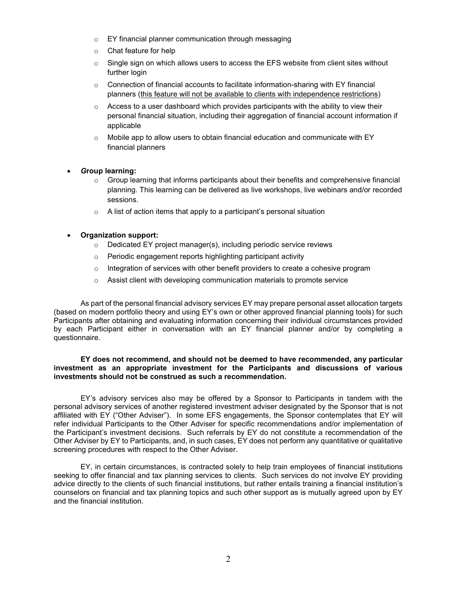- o EY financial planner communication through messaging
- o Chat feature for help
- $\circ$  Single sign on which allows users to access the EFS website from client sites without further login
- o Connection of financial accounts to facilitate information-sharing with EY financial planners (this feature will not be available to clients with independence restrictions)
- $\circ$  Access to a user dashboard which provides participants with the ability to view their personal financial situation, including their aggregation of financial account information if applicable
- $\circ$  Mobile app to allow users to obtain financial education and communicate with EY financial planners
- Group learning:
	- $\circ$  Group learning that informs participants about their benefits and comprehensive financial planning. This learning can be delivered as live workshops, live webinars and/or recorded sessions.
	- $\circ$  A list of action items that apply to a participant's personal situation
- Organization support:
	- $\circ$  Dedicated EY project manager(s), including periodic service reviews
	- o Periodic engagement reports highlighting participant activity
	- $\circ$  Integration of services with other benefit providers to create a cohesive program
	- o Assist client with developing communication materials to promote service

As part of the personal financial advisory services EY may prepare personal asset allocation targets (based on modern portfolio theory and using EY's own or other approved financial planning tools) for such Participants after obtaining and evaluating information concerning their individual circumstances provided by each Participant either in conversation with an EY financial planner and/or by completing a questionnaire.

### EY does not recommend, and should not be deemed to have recommended, any particular investment as an appropriate investment for the Participants and discussions of various investments should not be construed as such a recommendation.

EY's advisory services also may be offered by a Sponsor to Participants in tandem with the personal advisory services of another registered investment adviser designated by the Sponsor that is not affiliated with EY ("Other Adviser"). In some EFS engagements, the Sponsor contemplates that EY will refer individual Participants to the Other Adviser for specific recommendations and/or implementation of the Participant's investment decisions. Such referrals by EY do not constitute a recommendation of the Other Adviser by EY to Participants, and, in such cases, EY does not perform any quantitative or qualitative screening procedures with respect to the Other Adviser.

 EY, in certain circumstances, is contracted solely to help train employees of financial institutions seeking to offer financial and tax planning services to clients. Such services do not involve EY providing advice directly to the clients of such financial institutions, but rather entails training a financial institution's counselors on financial and tax planning topics and such other support as is mutually agreed upon by EY and the financial institution.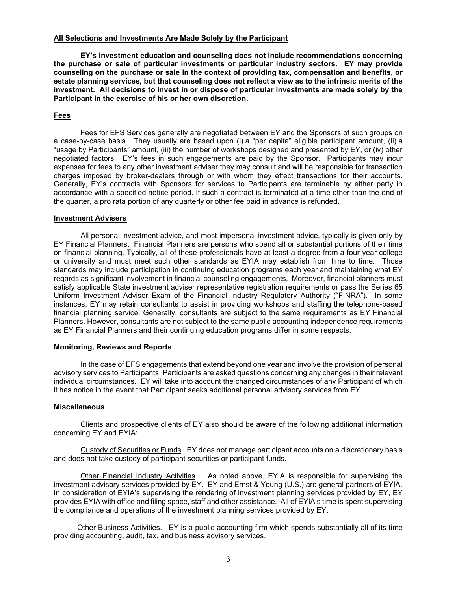#### All Selections and Investments Are Made Solely by the Participant

EY's investment education and counseling does not include recommendations concerning the purchase or sale of particular investments or particular industry sectors. EY may provide counseling on the purchase or sale in the context of providing tax, compensation and benefits, or estate planning services, but that counseling does not reflect a view as to the intrinsic merits of the investment. All decisions to invest in or dispose of particular investments are made solely by the Participant in the exercise of his or her own discretion.

### Fees

 Fees for EFS Services generally are negotiated between EY and the Sponsors of such groups on a case-by-case basis. They usually are based upon (i) a "per capita" eligible participant amount, (ii) a "usage by Participants" amount, (iii) the number of workshops designed and presented by EY, or (iv) other negotiated factors. EY's fees in such engagements are paid by the Sponsor. Participants may incur expenses for fees to any other investment adviser they may consult and will be responsible for transaction charges imposed by broker-dealers through or with whom they effect transactions for their accounts. Generally, EY's contracts with Sponsors for services to Participants are terminable by either party in accordance with a specified notice period. If such a contract is terminated at a time other than the end of the quarter, a pro rata portion of any quarterly or other fee paid in advance is refunded.

### Investment Advisers

All personal investment advice, and most impersonal investment advice, typically is given only by EY Financial Planners. Financial Planners are persons who spend all or substantial portions of their time on financial planning. Typically, all of these professionals have at least a degree from a four-year college or university and must meet such other standards as EYIA may establish from time to time. Those standards may include participation in continuing education programs each year and maintaining what EY regards as significant involvement in financial counseling engagements. Moreover, financial planners must satisfy applicable State investment adviser representative registration requirements or pass the Series 65 Uniform Investment Adviser Exam of the Financial Industry Regulatory Authority ("FINRA"). In some instances, EY may retain consultants to assist in providing workshops and staffing the telephone-based financial planning service. Generally, consultants are subject to the same requirements as EY Financial Planners. However, consultants are not subject to the same public accounting independence requirements as EY Financial Planners and their continuing education programs differ in some respects.

### Monitoring, Reviews and Reports

 In the case of EFS engagements that extend beyond one year and involve the provision of personal advisory services to Participants, Participants are asked questions concerning any changes in their relevant individual circumstances. EY will take into account the changed circumstances of any Participant of which it has notice in the event that Participant seeks additional personal advisory services from EY.

### Miscellaneous

Clients and prospective clients of EY also should be aware of the following additional information concerning EY and EYIA:

Custody of Securities or Funds. EY does not manage participant accounts on a discretionary basis and does not take custody of participant securities or participant funds.

Other Financial Industry Activities. As noted above, EYIA is responsible for supervising the investment advisory services provided by EY. EY and Ernst & Young (U.S.) are general partners of EYIA. In consideration of EYIA's supervising the rendering of investment planning services provided by EY, EY provides EYIA with office and filing space, staff and other assistance. All of EYIA's time is spent supervising the compliance and operations of the investment planning services provided by EY.

Other Business Activities. EY is a public accounting firm which spends substantially all of its time providing accounting, audit, tax, and business advisory services.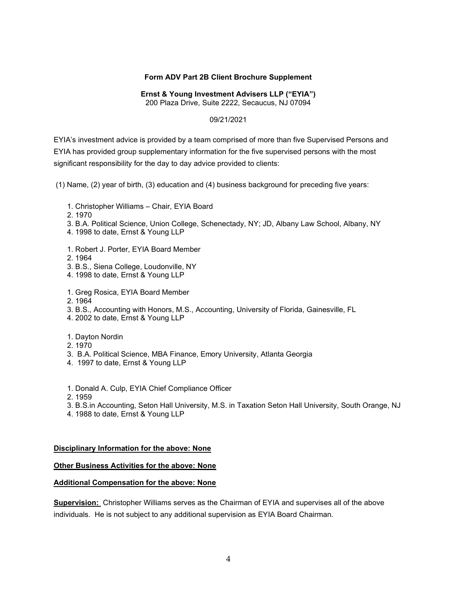## Form ADV Part 2B Client Brochure Supplement

Ernst & Young Investment Advisers LLP ("EYIA")

200 Plaza Drive, Suite 2222, Secaucus, NJ 07094

## 09/21/2021

EYIA's investment advice is provided by a team comprised of more than five Supervised Persons and EYIA has provided group supplementary information for the five supervised persons with the most significant responsibility for the day to day advice provided to clients:

(1) Name, (2) year of birth, (3) education and (4) business background for preceding five years:

- 1. Christopher Williams Chair, EYIA Board
- 2. 1970
- 3. B.A. Political Science, Union College, Schenectady, NY; JD, Albany Law School, Albany, NY
- 4. 1998 to date, Ernst & Young LLP
- 1. Robert J. Porter, EYIA Board Member
- 2. 1964
- 3. B.S., Siena College, Loudonville, NY
- 4. 1998 to date, Ernst & Young LLP
- 1. Greg Rosica, EYIA Board Member
- 2. 1964
- 3. B.S., Accounting with Honors, M.S., Accounting, University of Florida, Gainesville, FL
- 4. 2002 to date, Ernst & Young LLP
- 1. Dayton Nordin
- 2. 1970
- 3. B.A. Political Science, MBA Finance, Emory University, Atlanta Georgia
- 4. 1997 to date, Ernst & Young LLP
- 1. Donald A. Culp, EYIA Chief Compliance Officer
- 2. 1959
- 3. B.S.in Accounting, Seton Hall University, M.S. in Taxation Seton Hall University, South Orange, NJ
- 4. 1988 to date, Ernst & Young LLP

### Disciplinary Information for the above: None

# **Other Business Activities for the above: None**

# Additional Compensation for the above: None

Supervision: Christopher Williams serves as the Chairman of EYIA and supervises all of the above individuals. He is not subject to any additional supervision as EYIA Board Chairman.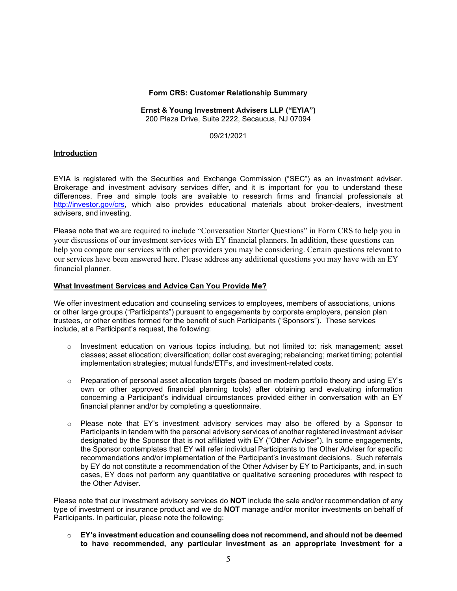#### Form CRS: Customer Relationship Summary

#### Ernst & Young Investment Advisers LLP ("EYIA") 200 Plaza Drive, Suite 2222, Secaucus, NJ 07094

09/21/2021

### Introduction

EYIA is registered with the Securities and Exchange Commission ("SEC") as an investment adviser. Brokerage and investment advisory services differ, and it is important for you to understand these differences. Free and simple tools are available to research firms and financial professionals at http://investor.gov/crs, which also provides educational materials about broker-dealers, investment advisers, and investing.

Please note that we are required to include "Conversation Starter Questions" in Form CRS to help you in your discussions of our investment services with EY financial planners. In addition, these questions can help you compare our services with other providers you may be considering. Certain questions relevant to our services have been answered here. Please address any additional questions you may have with an EY financial planner.

#### What Investment Services and Advice Can You Provide Me?

We offer investment education and counseling services to employees, members of associations, unions or other large groups ("Participants") pursuant to engagements by corporate employers, pension plan trustees, or other entities formed for the benefit of such Participants ("Sponsors"). These services include, at a Participant's request, the following:

- $\circ$  Investment education on various topics including, but not limited to: risk management; asset classes; asset allocation; diversification; dollar cost averaging; rebalancing; market timing; potential implementation strategies; mutual funds/ETFs, and investment-related costs.
- o Preparation of personal asset allocation targets (based on modern portfolio theory and using EY's own or other approved financial planning tools) after obtaining and evaluating information concerning a Participant's individual circumstances provided either in conversation with an EY financial planner and/or by completing a questionnaire.
- $\circ$  Please note that EY's investment advisory services may also be offered by a Sponsor to Participants in tandem with the personal advisory services of another registered investment adviser designated by the Sponsor that is not affiliated with EY ("Other Adviser"). In some engagements, the Sponsor contemplates that EY will refer individual Participants to the Other Adviser for specific recommendations and/or implementation of the Participant's investment decisions. Such referrals by EY do not constitute a recommendation of the Other Adviser by EY to Participants, and, in such cases, EY does not perform any quantitative or qualitative screening procedures with respect to the Other Adviser.

Please note that our investment advisory services do **NOT** include the sale and/or recommendation of any type of investment or insurance product and we do **NOT** manage and/or monitor investments on behalf of Participants. In particular, please note the following:

 $\circ$  EY's investment education and counseling does not recommend, and should not be deemed to have recommended, any particular investment as an appropriate investment for a